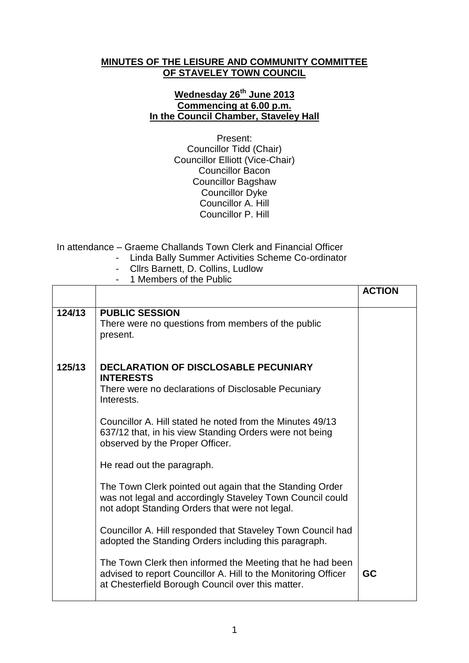## **MINUTES OF THE LEISURE AND COMMUNITY COMMITTEE OF STAVELEY TOWN COUNCIL**

## **Wednesday 26th June 2013 Commencing at 6.00 p.m. In the Council Chamber, Staveley Hall**

Present: Councillor Tidd (Chair) Councillor Elliott (Vice-Chair) Councillor Bacon Councillor Bagshaw Councillor Dyke Councillor A. Hill Councillor P. Hill

In attendance – Graeme Challands Town Clerk and Financial Officer

- Linda Bally Summer Activities Scheme Co-ordinator
- Cllrs Barnett, D. Collins, Ludlow
- 1 Members of the Public

|        |                                                                                                                                                                                  | <b>ACTION</b> |
|--------|----------------------------------------------------------------------------------------------------------------------------------------------------------------------------------|---------------|
| 124/13 | <b>PUBLIC SESSION</b><br>There were no questions from members of the public<br>present.                                                                                          |               |
| 125/13 | <b>DECLARATION OF DISCLOSABLE PECUNIARY</b><br><b>INTERESTS</b><br>There were no declarations of Disclosable Pecuniary<br>Interests.                                             |               |
|        | Councillor A. Hill stated he noted from the Minutes 49/13<br>637/12 that, in his view Standing Orders were not being<br>observed by the Proper Officer.                          |               |
|        | He read out the paragraph.                                                                                                                                                       |               |
|        | The Town Clerk pointed out again that the Standing Order<br>was not legal and accordingly Staveley Town Council could<br>not adopt Standing Orders that were not legal.          |               |
|        | Councillor A. Hill responded that Staveley Town Council had<br>adopted the Standing Orders including this paragraph.                                                             |               |
|        | The Town Clerk then informed the Meeting that he had been<br>advised to report Councillor A. Hill to the Monitoring Officer<br>at Chesterfield Borough Council over this matter. | GC            |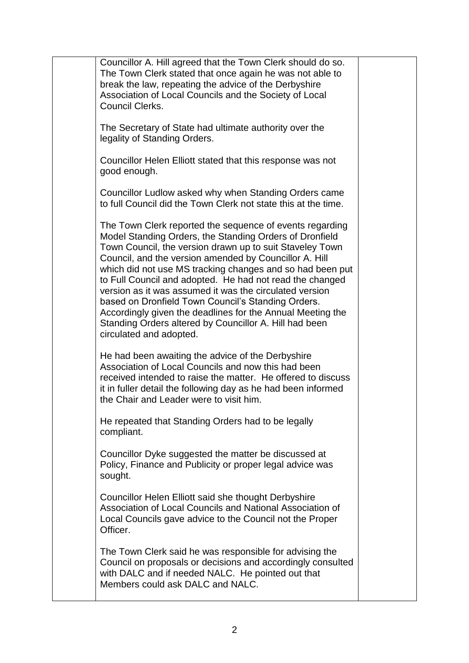| Councillor A. Hill agreed that the Town Clerk should do so.                                                             |  |
|-------------------------------------------------------------------------------------------------------------------------|--|
| The Town Clerk stated that once again he was not able to                                                                |  |
| break the law, repeating the advice of the Derbyshire<br>Association of Local Councils and the Society of Local         |  |
| <b>Council Clerks.</b>                                                                                                  |  |
|                                                                                                                         |  |
| The Secretary of State had ultimate authority over the                                                                  |  |
| legality of Standing Orders.                                                                                            |  |
| Councillor Helen Elliott stated that this response was not                                                              |  |
| good enough.                                                                                                            |  |
|                                                                                                                         |  |
| Councillor Ludlow asked why when Standing Orders came<br>to full Council did the Town Clerk not state this at the time. |  |
|                                                                                                                         |  |
| The Town Clerk reported the sequence of events regarding                                                                |  |
| Model Standing Orders, the Standing Orders of Dronfield                                                                 |  |
| Town Council, the version drawn up to suit Staveley Town                                                                |  |
| Council, and the version amended by Councillor A. Hill<br>which did not use MS tracking changes and so had been put     |  |
| to Full Council and adopted. He had not read the changed                                                                |  |
| version as it was assumed it was the circulated version                                                                 |  |
| based on Dronfield Town Council's Standing Orders.                                                                      |  |
| Accordingly given the deadlines for the Annual Meeting the<br>Standing Orders altered by Councillor A. Hill had been    |  |
| circulated and adopted.                                                                                                 |  |
|                                                                                                                         |  |
| He had been awaiting the advice of the Derbyshire                                                                       |  |
| Association of Local Councils and now this had been<br>received intended to raise the matter. He offered to discuss     |  |
| it in fuller detail the following day as he had been informed                                                           |  |
| the Chair and Leader were to visit him.                                                                                 |  |
| He repeated that Standing Orders had to be legally                                                                      |  |
| compliant.                                                                                                              |  |
|                                                                                                                         |  |
| Councillor Dyke suggested the matter be discussed at                                                                    |  |
| Policy, Finance and Publicity or proper legal advice was<br>sought.                                                     |  |
|                                                                                                                         |  |
| Councillor Helen Elliott said she thought Derbyshire                                                                    |  |
| Association of Local Councils and National Association of                                                               |  |
| Local Councils gave advice to the Council not the Proper<br>Officer.                                                    |  |
|                                                                                                                         |  |
| The Town Clerk said he was responsible for advising the                                                                 |  |
| Council on proposals or decisions and accordingly consulted                                                             |  |
| with DALC and if needed NALC. He pointed out that<br>Members could ask DALC and NALC.                                   |  |
|                                                                                                                         |  |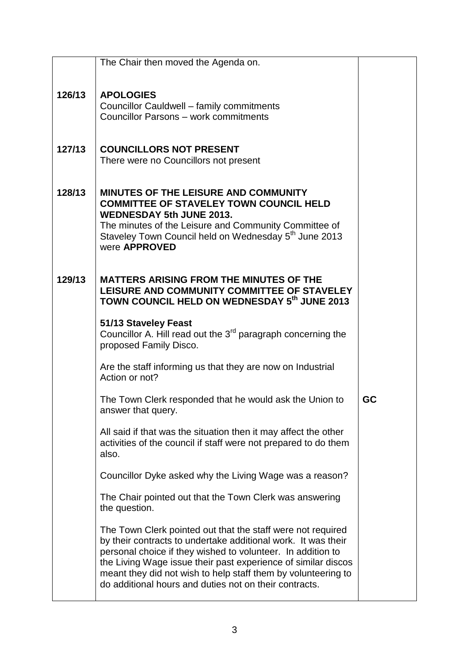|        | The Chair then moved the Agenda on.                                                                                                                                                                                                                                                                                                                                                     |    |
|--------|-----------------------------------------------------------------------------------------------------------------------------------------------------------------------------------------------------------------------------------------------------------------------------------------------------------------------------------------------------------------------------------------|----|
|        |                                                                                                                                                                                                                                                                                                                                                                                         |    |
| 126/13 | <b>APOLOGIES</b><br>Councillor Cauldwell - family commitments<br>Councillor Parsons - work commitments                                                                                                                                                                                                                                                                                  |    |
| 127/13 | <b>COUNCILLORS NOT PRESENT</b><br>There were no Councillors not present                                                                                                                                                                                                                                                                                                                 |    |
| 128/13 | <b>MINUTES OF THE LEISURE AND COMMUNITY</b><br><b>COMMITTEE OF STAVELEY TOWN COUNCIL HELD</b><br><b>WEDNESDAY 5th JUNE 2013.</b><br>The minutes of the Leisure and Community Committee of<br>Staveley Town Council held on Wednesday 5 <sup>th</sup> June 2013<br>were <b>APPROVED</b>                                                                                                  |    |
| 129/13 | <b>MATTERS ARISING FROM THE MINUTES OF THE</b><br>LEISURE AND COMMUNITY COMMITTEE OF STAVELEY<br>TOWN COUNCIL HELD ON WEDNESDAY 5th JUNE 2013                                                                                                                                                                                                                                           |    |
|        | 51/13 Staveley Feast<br>Councillor A. Hill read out the 3 <sup>rd</sup> paragraph concerning the<br>proposed Family Disco.                                                                                                                                                                                                                                                              |    |
|        | Are the staff informing us that they are now on Industrial<br>Action or not?                                                                                                                                                                                                                                                                                                            |    |
|        | The Town Clerk responded that he would ask the Union to<br>answer that query.                                                                                                                                                                                                                                                                                                           | GC |
|        | All said if that was the situation then it may affect the other<br>activities of the council if staff were not prepared to do them<br>also.                                                                                                                                                                                                                                             |    |
|        | Councillor Dyke asked why the Living Wage was a reason?                                                                                                                                                                                                                                                                                                                                 |    |
|        | The Chair pointed out that the Town Clerk was answering<br>the question.                                                                                                                                                                                                                                                                                                                |    |
|        | The Town Clerk pointed out that the staff were not required<br>by their contracts to undertake additional work. It was their<br>personal choice if they wished to volunteer. In addition to<br>the Living Wage issue their past experience of similar discos<br>meant they did not wish to help staff them by volunteering to<br>do additional hours and duties not on their contracts. |    |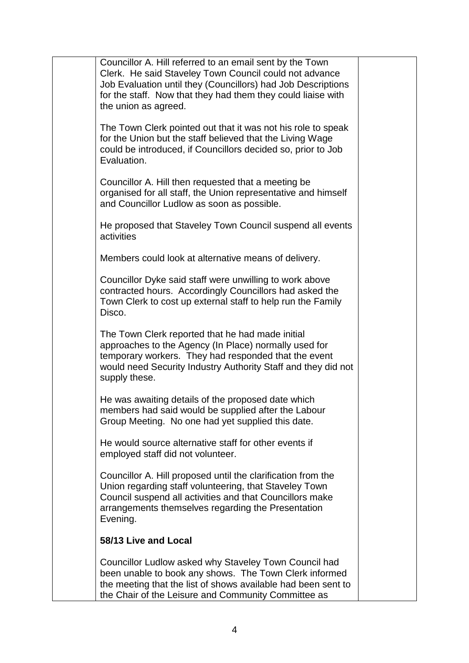| Councillor A. Hill referred to an email sent by the Town<br>Clerk. He said Staveley Town Council could not advance<br>Job Evaluation until they (Councillors) had Job Descriptions<br>for the staff. Now that they had them they could liaise with<br>the union as agreed. |  |
|----------------------------------------------------------------------------------------------------------------------------------------------------------------------------------------------------------------------------------------------------------------------------|--|
| The Town Clerk pointed out that it was not his role to speak<br>for the Union but the staff believed that the Living Wage<br>could be introduced, if Councillors decided so, prior to Job<br>Evaluation.                                                                   |  |
| Councillor A. Hill then requested that a meeting be<br>organised for all staff, the Union representative and himself<br>and Councillor Ludlow as soon as possible.                                                                                                         |  |
| He proposed that Staveley Town Council suspend all events<br>activities                                                                                                                                                                                                    |  |
| Members could look at alternative means of delivery.                                                                                                                                                                                                                       |  |
| Councillor Dyke said staff were unwilling to work above<br>contracted hours. Accordingly Councillors had asked the<br>Town Clerk to cost up external staff to help run the Family<br>Disco.                                                                                |  |
| The Town Clerk reported that he had made initial<br>approaches to the Agency (In Place) normally used for<br>temporary workers. They had responded that the event<br>would need Security Industry Authority Staff and they did not<br>supply these.                        |  |
| He was awaiting details of the proposed date which<br>members had said would be supplied after the Labour<br>Group Meeting. No one had yet supplied this date.                                                                                                             |  |
| He would source alternative staff for other events if<br>employed staff did not volunteer.                                                                                                                                                                                 |  |
| Councillor A. Hill proposed until the clarification from the<br>Union regarding staff volunteering, that Staveley Town<br>Council suspend all activities and that Councillors make<br>arrangements themselves regarding the Presentation<br>Evening.                       |  |
| 58/13 Live and Local                                                                                                                                                                                                                                                       |  |
| Councillor Ludlow asked why Staveley Town Council had<br>been unable to book any shows. The Town Clerk informed<br>the meeting that the list of shows available had been sent to<br>the Chair of the Leisure and Community Committee as                                    |  |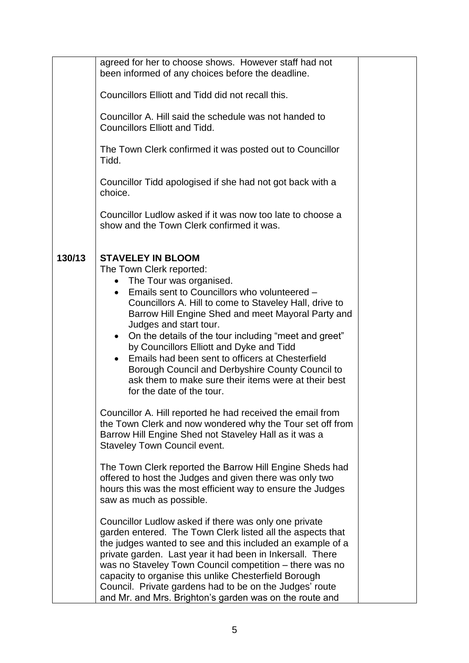|        | agreed for her to choose shows. However staff had not<br>been informed of any choices before the deadline.                                                                                                                                                                                                                                                                                                                                                                                                                                                                                                         |  |
|--------|--------------------------------------------------------------------------------------------------------------------------------------------------------------------------------------------------------------------------------------------------------------------------------------------------------------------------------------------------------------------------------------------------------------------------------------------------------------------------------------------------------------------------------------------------------------------------------------------------------------------|--|
|        | Councillors Elliott and Tidd did not recall this.                                                                                                                                                                                                                                                                                                                                                                                                                                                                                                                                                                  |  |
|        | Councillor A. Hill said the schedule was not handed to<br><b>Councillors Elliott and Tidd.</b>                                                                                                                                                                                                                                                                                                                                                                                                                                                                                                                     |  |
|        | The Town Clerk confirmed it was posted out to Councillor<br>Tidd.                                                                                                                                                                                                                                                                                                                                                                                                                                                                                                                                                  |  |
|        | Councillor Tidd apologised if she had not got back with a<br>choice.                                                                                                                                                                                                                                                                                                                                                                                                                                                                                                                                               |  |
|        | Councillor Ludlow asked if it was now too late to choose a<br>show and the Town Clerk confirmed it was.                                                                                                                                                                                                                                                                                                                                                                                                                                                                                                            |  |
| 130/13 | <b>STAVELEY IN BLOOM</b><br>The Town Clerk reported:<br>The Tour was organised.<br>Emails sent to Councillors who volunteered -<br>$\bullet$<br>Councillors A. Hill to come to Staveley Hall, drive to<br>Barrow Hill Engine Shed and meet Mayoral Party and<br>Judges and start tour.<br>On the details of the tour including "meet and greet"<br>$\bullet$<br>by Councillors Elliott and Dyke and Tidd<br>Emails had been sent to officers at Chesterfield<br>$\bullet$<br>Borough Council and Derbyshire County Council to<br>ask them to make sure their items were at their best<br>for the date of the tour. |  |
|        | Councillor A. Hill reported he had received the email from<br>the Town Clerk and now wondered why the Tour set off from<br>Barrow Hill Engine Shed not Staveley Hall as it was a<br><b>Staveley Town Council event.</b>                                                                                                                                                                                                                                                                                                                                                                                            |  |
|        | The Town Clerk reported the Barrow Hill Engine Sheds had<br>offered to host the Judges and given there was only two<br>hours this was the most efficient way to ensure the Judges<br>saw as much as possible.                                                                                                                                                                                                                                                                                                                                                                                                      |  |
|        | Councillor Ludlow asked if there was only one private<br>garden entered. The Town Clerk listed all the aspects that<br>the judges wanted to see and this included an example of a<br>private garden. Last year it had been in Inkersall. There<br>was no Staveley Town Council competition - there was no<br>capacity to organise this unlike Chesterfield Borough<br>Council. Private gardens had to be on the Judges' route<br>and Mr. and Mrs. Brighton's garden was on the route and                                                                                                                           |  |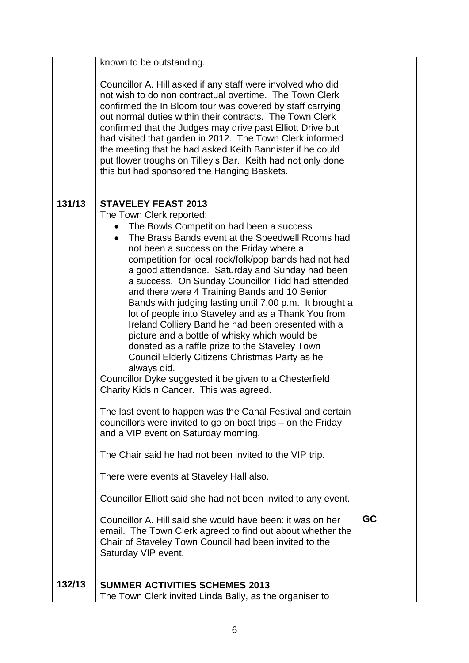|        | known to be outstanding.                                                                                                                                                                                                                                                                                                                                                                                                                                                                                                                                                                                                                                                                                                                                                                                                                                                              |           |
|--------|---------------------------------------------------------------------------------------------------------------------------------------------------------------------------------------------------------------------------------------------------------------------------------------------------------------------------------------------------------------------------------------------------------------------------------------------------------------------------------------------------------------------------------------------------------------------------------------------------------------------------------------------------------------------------------------------------------------------------------------------------------------------------------------------------------------------------------------------------------------------------------------|-----------|
|        | Councillor A. Hill asked if any staff were involved who did<br>not wish to do non contractual overtime. The Town Clerk<br>confirmed the In Bloom tour was covered by staff carrying<br>out normal duties within their contracts. The Town Clerk<br>confirmed that the Judges may drive past Elliott Drive but<br>had visited that garden in 2012. The Town Clerk informed<br>the meeting that he had asked Keith Bannister if he could<br>put flower troughs on Tilley's Bar. Keith had not only done<br>this but had sponsored the Hanging Baskets.                                                                                                                                                                                                                                                                                                                                  |           |
| 131/13 | <b>STAVELEY FEAST 2013</b><br>The Town Clerk reported:<br>• The Bowls Competition had been a success<br>The Brass Bands event at the Speedwell Rooms had<br>$\bullet$<br>not been a success on the Friday where a<br>competition for local rock/folk/pop bands had not had<br>a good attendance. Saturday and Sunday had been<br>a success. On Sunday Councillor Tidd had attended<br>and there were 4 Training Bands and 10 Senior<br>Bands with judging lasting until 7.00 p.m. It brought a<br>lot of people into Staveley and as a Thank You from<br>Ireland Colliery Band he had been presented with a<br>picture and a bottle of whisky which would be<br>donated as a raffle prize to the Staveley Town<br>Council Elderly Citizens Christmas Party as he<br>always did.<br>Councillor Dyke suggested it be given to a Chesterfield<br>Charity Kids n Cancer. This was agreed. |           |
|        | The last event to happen was the Canal Festival and certain<br>councillors were invited to go on boat trips – on the Friday<br>and a VIP event on Saturday morning.                                                                                                                                                                                                                                                                                                                                                                                                                                                                                                                                                                                                                                                                                                                   |           |
|        | The Chair said he had not been invited to the VIP trip.                                                                                                                                                                                                                                                                                                                                                                                                                                                                                                                                                                                                                                                                                                                                                                                                                               |           |
|        | There were events at Staveley Hall also.                                                                                                                                                                                                                                                                                                                                                                                                                                                                                                                                                                                                                                                                                                                                                                                                                                              |           |
|        | Councillor Elliott said she had not been invited to any event.                                                                                                                                                                                                                                                                                                                                                                                                                                                                                                                                                                                                                                                                                                                                                                                                                        |           |
|        | Councillor A. Hill said she would have been: it was on her<br>email. The Town Clerk agreed to find out about whether the<br>Chair of Staveley Town Council had been invited to the<br>Saturday VIP event.                                                                                                                                                                                                                                                                                                                                                                                                                                                                                                                                                                                                                                                                             | <b>GC</b> |
| 132/13 | <b>SUMMER ACTIVITIES SCHEMES 2013</b><br>The Town Clerk invited Linda Bally, as the organiser to                                                                                                                                                                                                                                                                                                                                                                                                                                                                                                                                                                                                                                                                                                                                                                                      |           |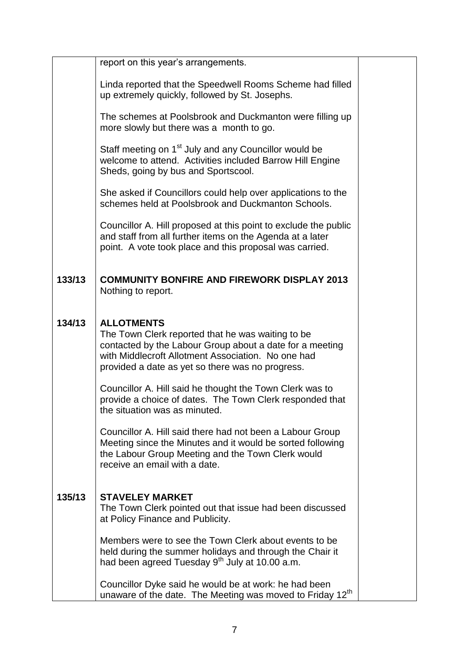|        | report on this year's arrangements.                                                                                                                                                                                                          |  |
|--------|----------------------------------------------------------------------------------------------------------------------------------------------------------------------------------------------------------------------------------------------|--|
|        | Linda reported that the Speedwell Rooms Scheme had filled<br>up extremely quickly, followed by St. Josephs.                                                                                                                                  |  |
|        | The schemes at Poolsbrook and Duckmanton were filling up<br>more slowly but there was a month to go.                                                                                                                                         |  |
|        | Staff meeting on 1 <sup>st</sup> July and any Councillor would be<br>welcome to attend. Activities included Barrow Hill Engine<br>Sheds, going by bus and Sportscool.                                                                        |  |
|        | She asked if Councillors could help over applications to the<br>schemes held at Poolsbrook and Duckmanton Schools.                                                                                                                           |  |
|        | Councillor A. Hill proposed at this point to exclude the public<br>and staff from all further items on the Agenda at a later<br>point. A vote took place and this proposal was carried.                                                      |  |
| 133/13 | <b>COMMUNITY BONFIRE AND FIREWORK DISPLAY 2013</b><br>Nothing to report.                                                                                                                                                                     |  |
|        |                                                                                                                                                                                                                                              |  |
| 134/13 | <b>ALLOTMENTS</b><br>The Town Clerk reported that he was waiting to be<br>contacted by the Labour Group about a date for a meeting<br>with Middlecroft Allotment Association. No one had<br>provided a date as yet so there was no progress. |  |
|        | Councillor A. Hill said he thought the Town Clerk was to<br>provide a choice of dates. The Town Clerk responded that<br>the situation was as minuted.                                                                                        |  |
|        | Councillor A. Hill said there had not been a Labour Group<br>Meeting since the Minutes and it would be sorted following<br>the Labour Group Meeting and the Town Clerk would<br>receive an email with a date.                                |  |
|        |                                                                                                                                                                                                                                              |  |
| 135/13 | <b>STAVELEY MARKET</b><br>The Town Clerk pointed out that issue had been discussed<br>at Policy Finance and Publicity.                                                                                                                       |  |
|        | Members were to see the Town Clerk about events to be<br>held during the summer holidays and through the Chair it<br>had been agreed Tuesday 9 <sup>th</sup> July at 10.00 a.m.                                                              |  |
|        | Councillor Dyke said he would be at work: he had been<br>unaware of the date. The Meeting was moved to Friday 12 <sup>th</sup>                                                                                                               |  |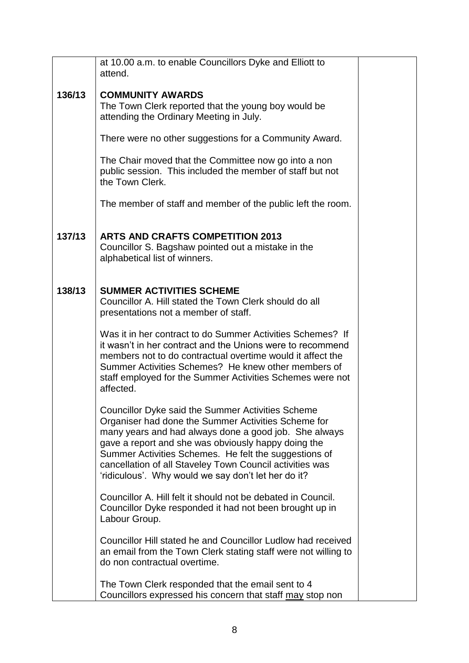|        | at 10.00 a.m. to enable Councillors Dyke and Elliott to<br>attend.                                                                                                                                                                                                                                                                                                                                   |  |
|--------|------------------------------------------------------------------------------------------------------------------------------------------------------------------------------------------------------------------------------------------------------------------------------------------------------------------------------------------------------------------------------------------------------|--|
| 136/13 | <b>COMMUNITY AWARDS</b><br>The Town Clerk reported that the young boy would be<br>attending the Ordinary Meeting in July.                                                                                                                                                                                                                                                                            |  |
|        | There were no other suggestions for a Community Award.                                                                                                                                                                                                                                                                                                                                               |  |
|        | The Chair moved that the Committee now go into a non<br>public session. This included the member of staff but not<br>the Town Clerk.                                                                                                                                                                                                                                                                 |  |
|        | The member of staff and member of the public left the room.                                                                                                                                                                                                                                                                                                                                          |  |
| 137/13 | <b>ARTS AND CRAFTS COMPETITION 2013</b><br>Councillor S. Bagshaw pointed out a mistake in the<br>alphabetical list of winners.                                                                                                                                                                                                                                                                       |  |
| 138/13 | <b>SUMMER ACTIVITIES SCHEME</b><br>Councillor A. Hill stated the Town Clerk should do all<br>presentations not a member of staff.                                                                                                                                                                                                                                                                    |  |
|        | Was it in her contract to do Summer Activities Schemes? If<br>it wasn't in her contract and the Unions were to recommend<br>members not to do contractual overtime would it affect the<br>Summer Activities Schemes? He knew other members of<br>staff employed for the Summer Activities Schemes were not<br>affected.                                                                              |  |
|        | Councillor Dyke said the Summer Activities Scheme<br>Organiser had done the Summer Activities Scheme for<br>many years and had always done a good job. She always<br>gave a report and she was obviously happy doing the<br>Summer Activities Schemes. He felt the suggestions of<br>cancellation of all Staveley Town Council activities was<br>'ridiculous'. Why would we say don't let her do it? |  |
|        | Councillor A. Hill felt it should not be debated in Council.<br>Councillor Dyke responded it had not been brought up in<br>Labour Group.                                                                                                                                                                                                                                                             |  |
|        | Councillor Hill stated he and Councillor Ludlow had received<br>an email from the Town Clerk stating staff were not willing to<br>do non contractual overtime.                                                                                                                                                                                                                                       |  |
|        | The Town Clerk responded that the email sent to 4<br>Councillors expressed his concern that staff may stop non                                                                                                                                                                                                                                                                                       |  |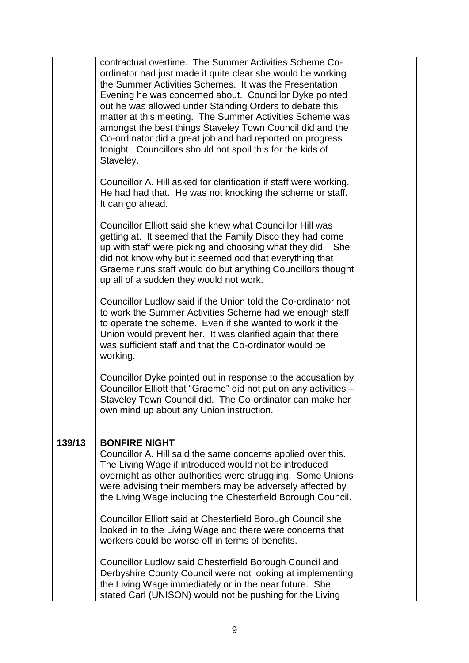|        | contractual overtime. The Summer Activities Scheme Co-<br>ordinator had just made it quite clear she would be working<br>the Summer Activities Schemes. It was the Presentation<br>Evening he was concerned about. Councillor Dyke pointed<br>out he was allowed under Standing Orders to debate this<br>matter at this meeting. The Summer Activities Scheme was<br>amongst the best things Staveley Town Council did and the<br>Co-ordinator did a great job and had reported on progress<br>tonight. Councillors should not spoil this for the kids of<br>Staveley. |  |
|--------|------------------------------------------------------------------------------------------------------------------------------------------------------------------------------------------------------------------------------------------------------------------------------------------------------------------------------------------------------------------------------------------------------------------------------------------------------------------------------------------------------------------------------------------------------------------------|--|
|        | Councillor A. Hill asked for clarification if staff were working.<br>He had had that. He was not knocking the scheme or staff.<br>It can go ahead.                                                                                                                                                                                                                                                                                                                                                                                                                     |  |
|        | Councillor Elliott said she knew what Councillor Hill was<br>getting at. It seemed that the Family Disco they had come<br>up with staff were picking and choosing what they did. She<br>did not know why but it seemed odd that everything that<br>Graeme runs staff would do but anything Councillors thought<br>up all of a sudden they would not work.                                                                                                                                                                                                              |  |
|        | Councillor Ludlow said if the Union told the Co-ordinator not<br>to work the Summer Activities Scheme had we enough staff<br>to operate the scheme. Even if she wanted to work it the<br>Union would prevent her. It was clarified again that there<br>was sufficient staff and that the Co-ordinator would be<br>working.                                                                                                                                                                                                                                             |  |
|        | Councillor Dyke pointed out in response to the accusation by<br>Councillor Elliott that "Graeme" did not put on any activities -<br>Staveley Town Council did. The Co-ordinator can make her<br>own mind up about any Union instruction.                                                                                                                                                                                                                                                                                                                               |  |
| 139/13 | <b>BONFIRE NIGHT</b><br>Councillor A. Hill said the same concerns applied over this.<br>The Living Wage if introduced would not be introduced<br>overnight as other authorities were struggling. Some Unions<br>were advising their members may be adversely affected by<br>the Living Wage including the Chesterfield Borough Council.                                                                                                                                                                                                                                |  |
|        | Councillor Elliott said at Chesterfield Borough Council she<br>looked in to the Living Wage and there were concerns that<br>workers could be worse off in terms of benefits.                                                                                                                                                                                                                                                                                                                                                                                           |  |
|        | Councillor Ludlow said Chesterfield Borough Council and<br>Derbyshire County Council were not looking at implementing<br>the Living Wage immediately or in the near future. She<br>stated Carl (UNISON) would not be pushing for the Living                                                                                                                                                                                                                                                                                                                            |  |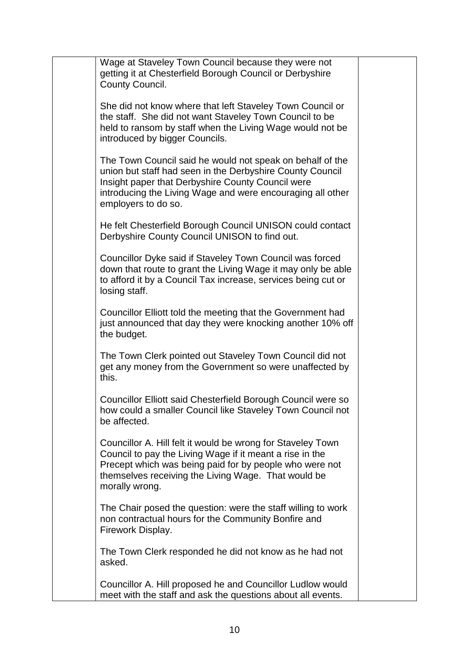| Wage at Staveley Town Council because they were not<br>getting it at Chesterfield Borough Council or Derbyshire<br>County Council.                                                                                                                               |  |
|------------------------------------------------------------------------------------------------------------------------------------------------------------------------------------------------------------------------------------------------------------------|--|
| She did not know where that left Staveley Town Council or<br>the staff. She did not want Staveley Town Council to be<br>held to ransom by staff when the Living Wage would not be<br>introduced by bigger Councils.                                              |  |
| The Town Council said he would not speak on behalf of the<br>union but staff had seen in the Derbyshire County Council<br>Insight paper that Derbyshire County Council were<br>introducing the Living Wage and were encouraging all other<br>employers to do so. |  |
| He felt Chesterfield Borough Council UNISON could contact<br>Derbyshire County Council UNISON to find out.                                                                                                                                                       |  |
| Councillor Dyke said if Staveley Town Council was forced<br>down that route to grant the Living Wage it may only be able<br>to afford it by a Council Tax increase, services being cut or<br>losing staff.                                                       |  |
| Councillor Elliott told the meeting that the Government had<br>just announced that day they were knocking another 10% off<br>the budget.                                                                                                                         |  |
| The Town Clerk pointed out Staveley Town Council did not<br>get any money from the Government so were unaffected by<br>this.                                                                                                                                     |  |
| Councillor Elliott said Chesterfield Borough Council were so<br>how could a smaller Council like Staveley Town Council not<br>be affected.                                                                                                                       |  |
| Councillor A. Hill felt it would be wrong for Staveley Town<br>Council to pay the Living Wage if it meant a rise in the<br>Precept which was being paid for by people who were not<br>themselves receiving the Living Wage. That would be<br>morally wrong.      |  |
| The Chair posed the question: were the staff willing to work<br>non contractual hours for the Community Bonfire and<br>Firework Display.                                                                                                                         |  |
| The Town Clerk responded he did not know as he had not<br>asked.                                                                                                                                                                                                 |  |
| Councillor A. Hill proposed he and Councillor Ludlow would<br>meet with the staff and ask the questions about all events.                                                                                                                                        |  |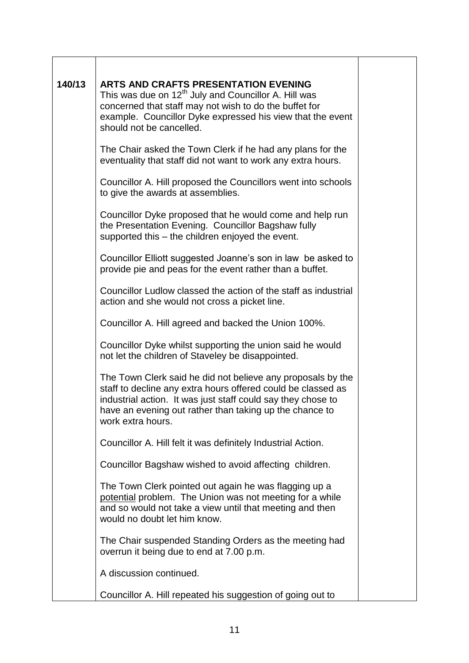| 140/13 | <b>ARTS AND CRAFTS PRESENTATION EVENING</b><br>This was due on 12 <sup>th</sup> July and Councillor A. Hill was<br>concerned that staff may not wish to do the buffet for<br>example. Councillor Dyke expressed his view that the event<br>should not be cancelled.         |  |
|--------|-----------------------------------------------------------------------------------------------------------------------------------------------------------------------------------------------------------------------------------------------------------------------------|--|
|        | The Chair asked the Town Clerk if he had any plans for the<br>eventuality that staff did not want to work any extra hours.                                                                                                                                                  |  |
|        | Councillor A. Hill proposed the Councillors went into schools<br>to give the awards at assemblies.                                                                                                                                                                          |  |
|        | Councillor Dyke proposed that he would come and help run<br>the Presentation Evening. Councillor Bagshaw fully<br>supported this – the children enjoyed the event.                                                                                                          |  |
|        | Councillor Elliott suggested Joanne's son in law be asked to<br>provide pie and peas for the event rather than a buffet.                                                                                                                                                    |  |
|        | Councillor Ludlow classed the action of the staff as industrial<br>action and she would not cross a picket line.                                                                                                                                                            |  |
|        | Councillor A. Hill agreed and backed the Union 100%.                                                                                                                                                                                                                        |  |
|        | Councillor Dyke whilst supporting the union said he would<br>not let the children of Staveley be disappointed.                                                                                                                                                              |  |
|        | The Town Clerk said he did not believe any proposals by the<br>staff to decline any extra hours offered could be classed as<br>industrial action. It was just staff could say they chose to<br>have an evening out rather than taking up the chance to<br>work extra hours. |  |
|        | Councillor A. Hill felt it was definitely Industrial Action.                                                                                                                                                                                                                |  |
|        | Councillor Bagshaw wished to avoid affecting children.                                                                                                                                                                                                                      |  |
|        | The Town Clerk pointed out again he was flagging up a<br>potential problem. The Union was not meeting for a while<br>and so would not take a view until that meeting and then<br>would no doubt let him know.                                                               |  |
|        | The Chair suspended Standing Orders as the meeting had<br>overrun it being due to end at 7.00 p.m.                                                                                                                                                                          |  |
|        | A discussion continued.                                                                                                                                                                                                                                                     |  |
|        | Councillor A. Hill repeated his suggestion of going out to                                                                                                                                                                                                                  |  |

 $\overline{\phantom{0}}$ 

 $\top$ 

 $\mathbf{r}$ 

٦